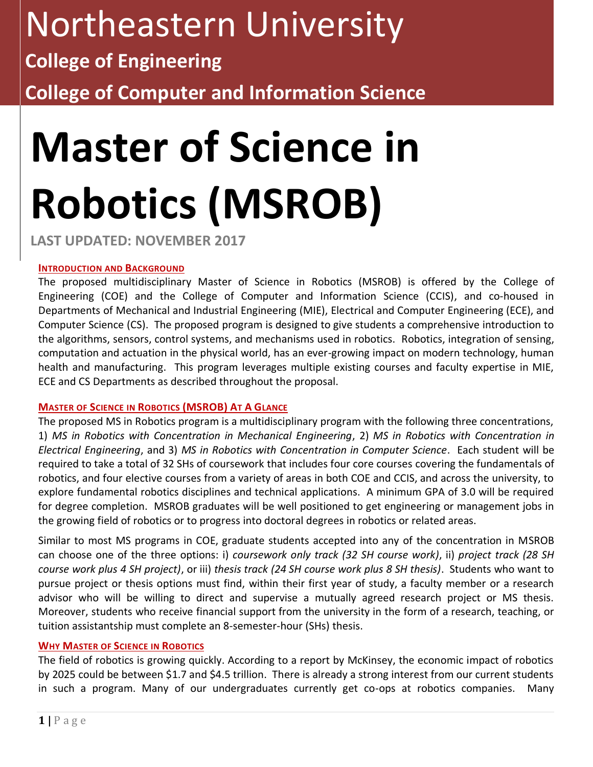# Northeastern University

## **College of Engineering**

**College of Computer and Information Science**

# **Master of Science in Robotics (MSROB)**

**LAST UPDATED: NOVEMBER 2017**

#### **INTRODUCTION AND BACKGROUND**

The proposed multidisciplinary Master of Science in Robotics (MSROB) is offered by the College of Engineering (COE) and the College of Computer and Information Science (CCIS), and co-housed in Departments of Mechanical and Industrial Engineering (MIE), Electrical and Computer Engineering (ECE), and Computer Science (CS). The proposed program is designed to give students a comprehensive introduction to the algorithms, sensors, control systems, and mechanisms used in robotics. Robotics, integration of sensing, computation and actuation in the physical world, has an ever-growing impact on modern technology, human health and manufacturing. This program leverages multiple existing courses and faculty expertise in MIE, ECE and CS Departments as described throughout the proposal.

#### **MASTER OF SCIENCE IN ROBOTICS (MSROB) AT A GLANCE**

The proposed MS in Robotics program is a multidisciplinary program with the following three concentrations, 1) *MS in Robotics with Concentration in Mechanical Engineering*, 2) *MS in Robotics with Concentration in Electrical Engineering*, and 3) *MS in Robotics with Concentration in Computer Science*. Each student will be required to take a total of 32 SHs of coursework that includes four core courses covering the fundamentals of robotics, and four elective courses from a variety of areas in both COE and CCIS, and across the university, to explore fundamental robotics disciplines and technical applications. A minimum GPA of 3.0 will be required for degree completion. MSROB graduates will be well positioned to get engineering or management jobs in the growing field of robotics or to progress into doctoral degrees in robotics or related areas.

Similar to most MS programs in COE, graduate students accepted into any of the concentration in MSROB can choose one of the three options: i) *coursework only track (32 SH course work)*, ii) *project track (28 SH course work plus 4 SH project)*, or iii) *thesis track (24 SH course work plus 8 SH thesis)*. Students who want to pursue project or thesis options must find, within their first year of study, a faculty member or a research advisor who will be willing to direct and supervise a mutually agreed research project or MS thesis. Moreover, students who receive financial support from the university in the form of a research, teaching, or tuition assistantship must complete an 8-semester-hour (SHs) thesis.

#### **WHY MASTER OF SCIENCE IN ROBOTICS**

The field of robotics is growing quickly. According to a report by McKinsey, the economic impact of robotics by 2025 could be between \$1.7 and \$4.5 trillion. There is already a strong interest from our current students in such a program. Many of our undergraduates currently get co-ops at robotics companies. Many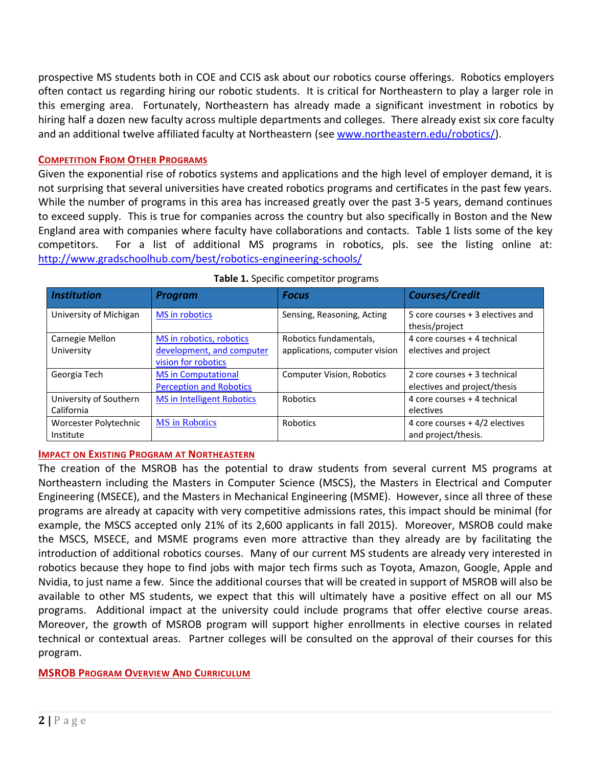prospective MS students both in COE and CCIS ask about our robotics course offerings. Robotics employers often contact us regarding hiring our robotic students. It is critical for Northeastern to play a larger role in this emerging area. Fortunately, Northeastern has already made a significant investment in robotics by hiring half a dozen new faculty across multiple departments and colleges. There already exist six core faculty and an additional twelve affiliated faculty at Northeastern (see [www.northeastern.edu/robotics/\)](http://www.northeastern.edu/robotics/).

#### **COMPETITION FROM OTHER PROGRAMS**

Given the exponential rise of robotics systems and applications and the high level of employer demand, it is not surprising that several universities have created robotics programs and certificates in the past few years. While the number of programs in this area has increased greatly over the past 3-5 years, demand continues to exceed supply. This is true for companies across the country but also specifically in Boston and the New England area with companies where faculty have collaborations and contacts. Table 1 lists some of the key competitors. For a list of additional MS programs in robotics, pls. see the listing online at: <http://www.gradschoolhub.com/best/robotics-engineering-schools/>

| <b>Institution</b>                   | <b>Program</b>                                                               | <b>Focus</b>                                            | <b>Courses/Credit</b>                                        |
|--------------------------------------|------------------------------------------------------------------------------|---------------------------------------------------------|--------------------------------------------------------------|
| University of Michigan               | <b>MS</b> in robotics                                                        | Sensing, Reasoning, Acting                              | 5 core courses + 3 electives and<br>thesis/project           |
| Carnegie Mellon<br>University        | MS in robotics, robotics<br>development, and computer<br>vision for robotics | Robotics fundamentals,<br>applications, computer vision | 4 core courses + 4 technical<br>electives and project        |
| Georgia Tech                         | <b>MS</b> in Computational<br><b>Perception and Robotics</b>                 | <b>Computer Vision, Robotics</b>                        | 2 core courses + 3 technical<br>electives and project/thesis |
| University of Southern<br>California | <b>MS in Intelligent Robotics</b>                                            | Robotics                                                | 4 core courses + 4 technical<br>electives                    |
| Worcester Polytechnic<br>Institute   | <b>MS</b> in Robotics                                                        | Robotics                                                | 4 core courses + 4/2 electives<br>and project/thesis.        |

#### **Table 1.** Specific competitor programs

#### **IMPACT ON EXISTING PROGRAM AT NORTHEASTERN**

The creation of the MSROB has the potential to draw students from several current MS programs at Northeastern including the Masters in Computer Science (MSCS), the Masters in Electrical and Computer Engineering (MSECE), and the Masters in Mechanical Engineering (MSME). However, since all three of these programs are already at capacity with very competitive admissions rates, this impact should be minimal (for example, the MSCS accepted only 21% of its 2,600 applicants in fall 2015). Moreover, MSROB could make the MSCS, MSECE, and MSME programs even more attractive than they already are by facilitating the introduction of additional robotics courses. Many of our current MS students are already very interested in robotics because they hope to find jobs with major tech firms such as Toyota, Amazon, Google, Apple and Nvidia, to just name a few. Since the additional courses that will be created in support of MSROB will also be available to other MS students, we expect that this will ultimately have a positive effect on all our MS programs. Additional impact at the university could include programs that offer elective course areas. Moreover, the growth of MSROB program will support higher enrollments in elective courses in related technical or contextual areas. Partner colleges will be consulted on the approval of their courses for this program.

#### **MSROB PROGRAM OVERVIEW AND CURRICULUM**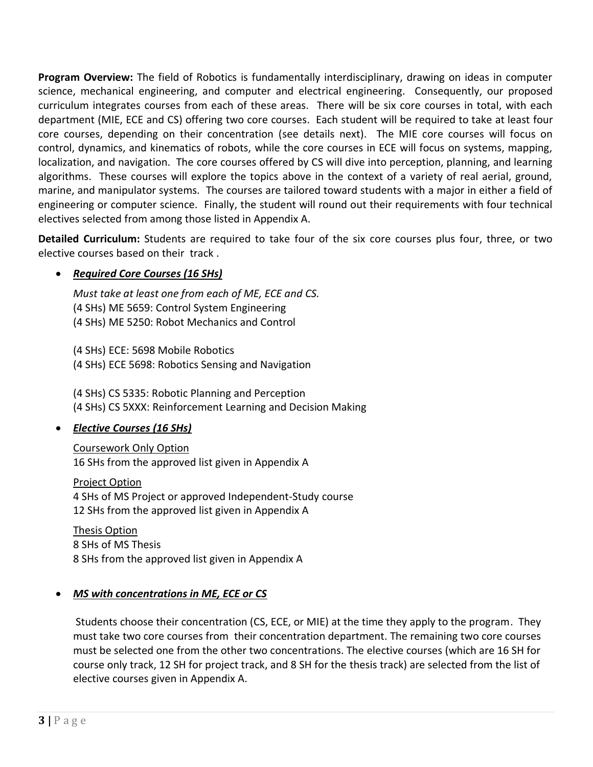**Program Overview:** The field of Robotics is fundamentally interdisciplinary, drawing on ideas in computer science, mechanical engineering, and computer and electrical engineering. Consequently, our proposed curriculum integrates courses from each of these areas. There will be six core courses in total, with each department (MIE, ECE and CS) offering two core courses. Each student will be required to take at least four core courses, depending on their concentration (see details next). The MIE core courses will focus on control, dynamics, and kinematics of robots, while the core courses in ECE will focus on systems, mapping, localization, and navigation. The core courses offered by CS will dive into perception, planning, and learning algorithms. These courses will explore the topics above in the context of a variety of real aerial, ground, marine, and manipulator systems. The courses are tailored toward students with a major in either a field of engineering or computer science. Finally, the student will round out their requirements with four technical electives selected from among those listed in Appendix A.

**Detailed Curriculum:** Students are required to take four of the six core courses plus four, three, or two elective courses based on their track .

#### • *Required Core Courses (16 SHs)*

*Must take at least one from each of ME, ECE and CS.*  (4 SHs) ME 5659: Control System Engineering (4 SHs) ME 5250: Robot Mechanics and Control

(4 SHs) ECE: 5698 Mobile Robotics (4 SHs) ECE 5698: Robotics Sensing and Navigation

(4 SHs) CS 5335: Robotic Planning and Perception (4 SHs) CS 5XXX: Reinforcement Learning and Decision Making

#### • *Elective Courses (16 SHs)*

Coursework Only Option 16 SHs from the approved list given in Appendix A

Project Option 4 SHs of MS Project or approved Independent-Study course 12 SHs from the approved list given in Appendix A

Thesis Option 8 SHs of MS Thesis 8 SHs from the approved list given in Appendix A

#### • *MS with concentrations in ME, ECE or CS*

Students choose their concentration (CS, ECE, or MIE) at the time they apply to the program. They must take two core courses from their concentration department. The remaining two core courses must be selected one from the other two concentrations. The elective courses (which are 16 SH for course only track, 12 SH for project track, and 8 SH for the thesis track) are selected from the list of elective courses given in Appendix A.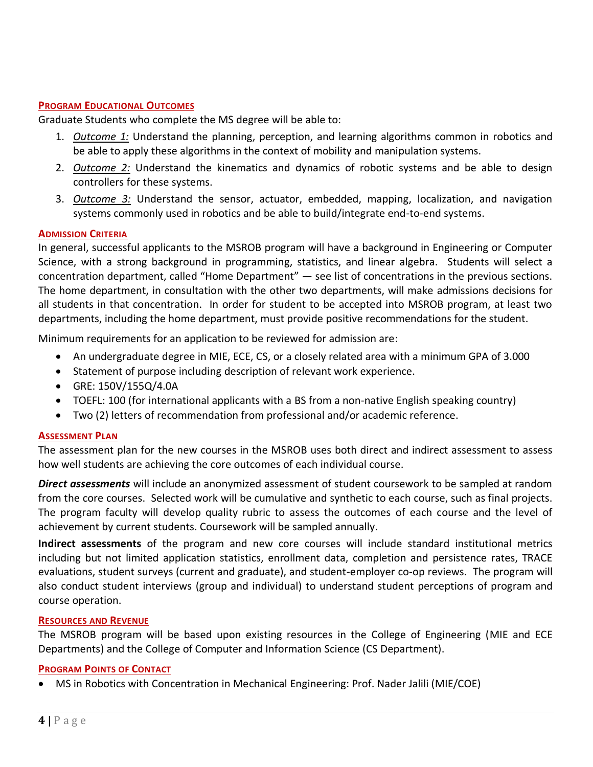#### **PROGRAM EDUCATIONAL OUTCOMES**

Graduate Students who complete the MS degree will be able to:

- 1. *Outcome 1:* Understand the planning, perception, and learning algorithms common in robotics and be able to apply these algorithms in the context of mobility and manipulation systems.
- 2. *Outcome 2:* Understand the kinematics and dynamics of robotic systems and be able to design controllers for these systems.
- 3. *Outcome 3:* Understand the sensor, actuator, embedded, mapping, localization, and navigation systems commonly used in robotics and be able to build/integrate end-to-end systems.

#### **ADMISSION CRITERIA**

In general, successful applicants to the MSROB program will have a background in Engineering or Computer Science, with a strong background in programming, statistics, and linear algebra. Students will select a concentration department, called "Home Department" — see list of concentrations in the previous sections. The home department, in consultation with the other two departments, will make admissions decisions for all students in that concentration. In order for student to be accepted into MSROB program, at least two departments, including the home department, must provide positive recommendations for the student.

Minimum requirements for an application to be reviewed for admission are:

- An undergraduate degree in MIE, ECE, CS, or a closely related area with a minimum GPA of 3.000
- Statement of purpose including description of relevant work experience.
- GRE: 150V/155Q/4.0A
- TOEFL: 100 (for international applicants with a BS from a non-native English speaking country)
- Two (2) letters of recommendation from professional and/or academic reference.

#### **ASSESSMENT PLAN**

The assessment plan for the new courses in the MSROB uses both direct and indirect assessment to assess how well students are achieving the core outcomes of each individual course.

*Direct assessments* will include an anonymized assessment of student coursework to be sampled at random from the core courses. Selected work will be cumulative and synthetic to each course, such as final projects. The program faculty will develop quality rubric to assess the outcomes of each course and the level of achievement by current students. Coursework will be sampled annually.

**Indirect assessments** of the program and new core courses will include standard institutional metrics including but not limited application statistics, enrollment data, completion and persistence rates, TRACE evaluations, student surveys (current and graduate), and student-employer co-op reviews. The program will also conduct student interviews (group and individual) to understand student perceptions of program and course operation.

#### **RESOURCES AND REVENUE**

The MSROB program will be based upon existing resources in the College of Engineering (MIE and ECE Departments) and the College of Computer and Information Science (CS Department).

#### **PROGRAM POINTS OF CONTACT**

• MS in Robotics with Concentration in Mechanical Engineering: Prof. Nader Jalili (MIE/COE)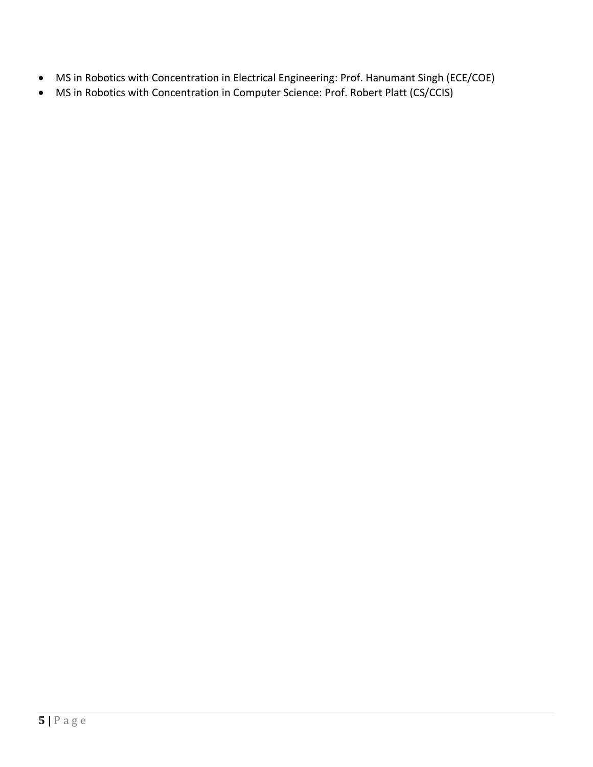- MS in Robotics with Concentration in Electrical Engineering: Prof. Hanumant Singh (ECE/COE)
- MS in Robotics with Concentration in Computer Science: Prof. Robert Platt (CS/CCIS)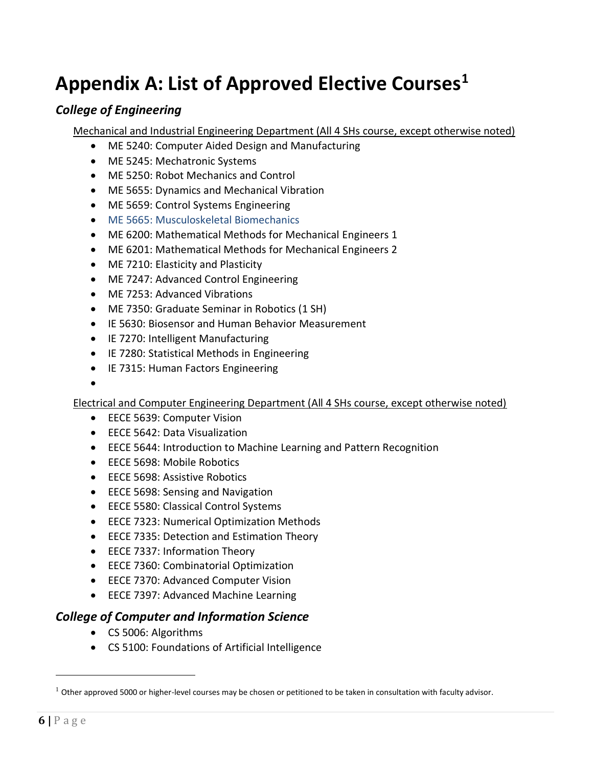### **Appendix A: List of Approved Elective Courses<sup>1</sup>**

#### *College of Engineering*

Mechanical and Industrial Engineering Department (All 4 SHs course, except otherwise noted)

- ME 5240: Computer Aided Design and Manufacturing
- ME 5245: Mechatronic Systems
- ME 5250: Robot Mechanics and Control
- ME 5655: Dynamics and Mechanical Vibration
- ME 5659: Control Systems Engineering
- ME 5665: Musculoskeletal Biomechanics
- ME 6200: Mathematical Methods for Mechanical Engineers 1
- ME 6201: Mathematical Methods for Mechanical Engineers 2
- ME 7210: Elasticity and Plasticity
- ME 7247: Advanced Control Engineering
- ME 7253: Advanced Vibrations
- ME 7350: Graduate Seminar in Robotics (1 SH)
- IE 5630: Biosensor and Human Behavior Measurement
- IE 7270: Intelligent Manufacturing
- IE 7280: Statistical Methods in Engineering
- IE 7315: Human Factors Engineering
- •

Electrical and Computer Engineering Department (All 4 SHs course, except otherwise noted)

- EECE 5639: Computer Vision
- EECE 5642: Data Visualization
- EECE 5644: Introduction to Machine Learning and Pattern Recognition
- EECE 5698: Mobile Robotics
- EECE 5698: Assistive Robotics
- EECE 5698: Sensing and Navigation
- EECE 5580: Classical Control Systems
- EECE 7323: Numerical Optimization Methods
- EECE 7335: Detection and Estimation Theory
- EECE 7337: Information Theory
- EECE 7360: Combinatorial Optimization
- EECE 7370: Advanced Computer Vision
- EECE 7397: Advanced Machine Learning

#### *College of Computer and Information Science*

- CS 5006: Algorithms
- CS 5100: Foundations of Artificial Intelligence

 $\overline{a}$ 

 $1$  Other approved 5000 or higher-level courses may be chosen or petitioned to be taken in consultation with faculty advisor.